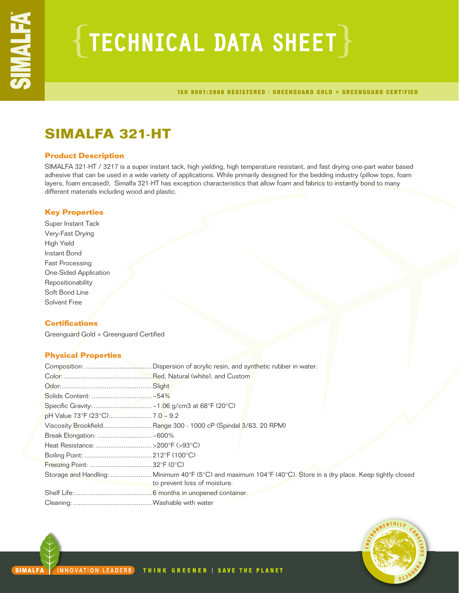# $\{$  TECHNICAL DATA SHEET  $\}$

ISO 9001:2008 REGISTERED | GREENGUARD GOLD + GREENGUARD CERTIFIED

## **SIMALFA 321-HT**

## **Product Description**

SIMALFA 321-HT / 3217 is a super instant tack, high yielding, high temperature resistant, and fast drying one-part water based adhesive that can be used in a wide variety of applications. While primarily designed for the bedding industry (pillow tops, foam layers, foam encased), Simalfa 321-HT has exception characteristics that allow foam and fabrics to instantly bond to many different materials including wood and plastic.

## **Key Properties**

Super Instant Tack Very-Fast Drying High Yield Instant Bond Fast Processing One-Sided Application Repositionability Soft Bond Line Solvent Free

## **Certifications**

Greenguard Gold + Greenguard Certified

## **Physical Properties**

| Viscosity Brookfield Range 300 - 1000 cP (Spindal 3/63, 20 RPM)                                              |
|--------------------------------------------------------------------------------------------------------------|
|                                                                                                              |
|                                                                                                              |
|                                                                                                              |
|                                                                                                              |
| Storage and Handling: Minimum 40°F (5°C) and maximum 104°F (40°C). Store in a dry place. Keep tightly closed |
| to prevent loss of moisture.                                                                                 |
|                                                                                                              |
|                                                                                                              |

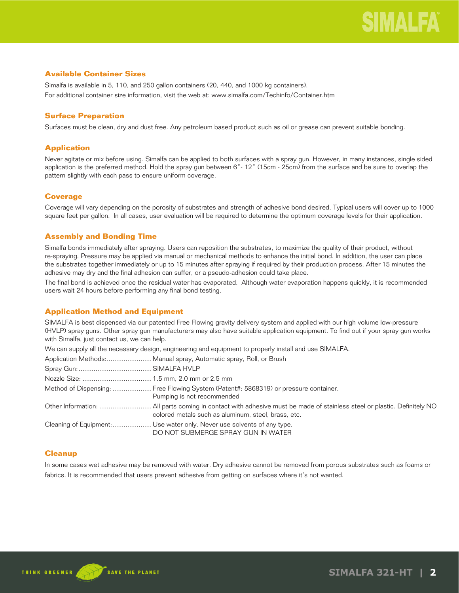## **Available Container Sizes**

Simalfa is available in 5, 110, and 250 gallon containers (20, 440, and 1000 kg containers). For additional container size information, visit the web at: www.simalfa.com/Techinfo/Container.htm

## **Surface Preparation**

Surfaces must be clean, dry and dust free. Any petroleum based product such as oil or grease can prevent suitable bonding.

## **Application**

Never agitate or mix before using. Simalfa can be applied to both surfaces with a spray gun. However, in many instances, single sided application is the preferred method. Hold the spray gun between 6"- 12" (15cm - 25cm) from the surface and be sure to overlap the pattern slightly with each pass to ensure uniform coverage.

## **Coverage**

Coverage will vary depending on the porosity of substrates and strength of adhesive bond desired. Typical users will cover up to 1000 square feet per gallon. In all cases, user evaluation will be required to determine the optimum coverage levels for their application.

## **Assembly and Bonding Time**

Simalfa bonds immediately after spraying. Users can reposition the substrates, to maximize the quality of their product, without re-spraying. Pressure may be applied via manual or mechanical methods to enhance the initial bond. In addition, the user can place the substrates together immediately or up to 15 minutes after spraying if required by their production process. After 15 minutes the adhesive may dry and the final adhesion can suffer, or a pseudo-adhesion could take place.

The final bond is achieved once the residual water has evaporated. Although water evaporation happens quickly, it is recommended users wait 24 hours before performing any final bond testing.

## **Application Method and Equipment**

SIMALFA is best dispensed via our patented Free Flowing gravity delivery system and applied with our high volume low-pressure (HVLP) spray guns. Other spray gun manufacturers may also have suitable application equipment. To find out if your spray gun works with Simalfa, just contact us, we can help.

We can supply all the necessary design, engineering and equipment to properly install and use SIMALFA.

| Method of Dispensing:  Free Flowing System (Patent#: 5868319) or pressure container.<br>Pumping is not recommended |
|--------------------------------------------------------------------------------------------------------------------|
| colored metals such as aluminum, steel, brass, etc.                                                                |
| DO NOT SUBMERGE SPRAY GUN IN WATER                                                                                 |

## **Cleanup**

In some cases wet adhesive may be removed with water. Dry adhesive cannot be removed from porous substrates such as foams or fabrics. It is recommended that users prevent adhesive from getting on surfaces where it's not wanted.

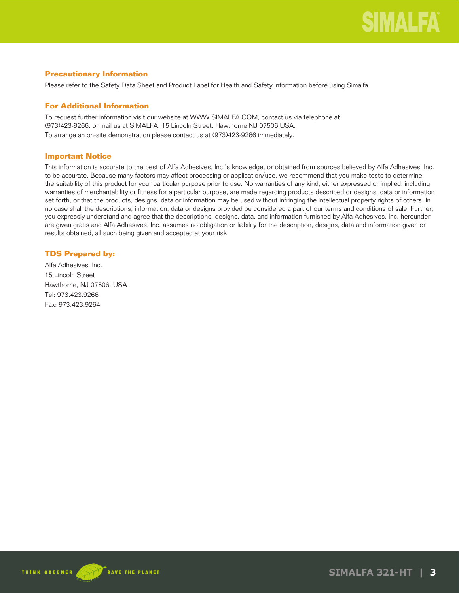## **Precautionary Information**

Please refer to the Safety Data Sheet and Product Label for Health and Safety Information before using Simalfa.

## **For Additional Information**

To request further information visit our website at WWW.SIMALFA.COM, contact us via telephone at (973)423-9266, or mail us at SIMALFA, 15 Lincoln Street, Hawthorne NJ 07506 USA.

To arrange an on-site demonstration please contact us at (973)423-9266 immediately.

## **Important Notice**

This information is accurate to the best of Alfa Adhesives, Inc.'s knowledge, or obtained from sources believed by Alfa Adhesives, Inc. to be accurate. Because many factors may affect processing or application/use, we recommend that you make tests to determine the suitability of this product for your particular purpose prior to use. No warranties of any kind, either expressed or implied, including warranties of merchantability or fitness for a particular purpose, are made regarding products described or designs, data or information set forth, or that the products, designs, data or information may be used without infringing the intellectual property rights of others. In no case shall the descriptions, information, data or designs provided be considered a part of our terms and conditions of sale. Further, you expressly understand and agree that the descriptions, designs, data, and information furnished by Alfa Adhesives, Inc. hereunder are given gratis and Alfa Adhesives, Inc. assumes no obligation or liability for the description, designs, data and information given or results obtained, all such being given and accepted at your risk.

## **TDS Prepared by:**

Alfa Adhesives, Inc. 15 Lincoln Street Hawthorne, NJ 07506 USA Tel: 973.423.9266 Fax: 973.423.9264

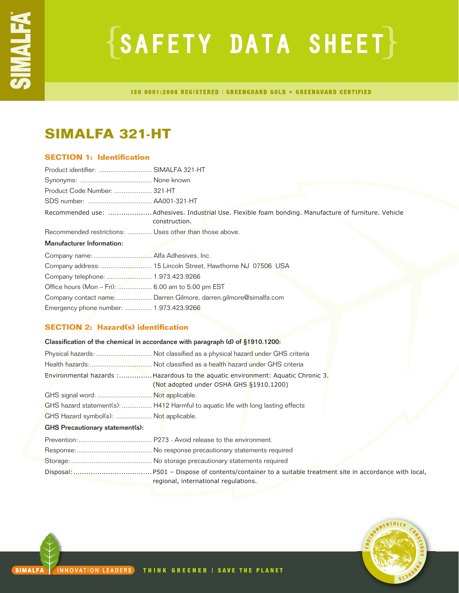# **{SAFETY DATA SHEET}**

ISO 9001:2008 REGISTERED | GREENGUARD GOLD + GREENGUARD CERTIFIED

## **SIMALFA 321-HT**

## **SECTION 1: Identification**

| Product identifier:  SIMALFA 321-HT                                                                                   |
|-----------------------------------------------------------------------------------------------------------------------|
|                                                                                                                       |
| Product Code Number:  321-HT                                                                                          |
|                                                                                                                       |
| Recommended use: Adhesives. Industrial Use. Flexible foam bonding. Manufacture of furniture. Vehicle<br>construction. |
| Recommended restrictions:  Uses other than those above.                                                               |
|                                                                                                                       |
|                                                                                                                       |
|                                                                                                                       |
|                                                                                                                       |
| Office hours (Mon - Fri):  6.00 am to 5:00 pm EST                                                                     |
| Company contact name: Darren Gilmore, darren.gilmore@simalfa.com                                                      |
| Emergency phone number:  1.973.423.9266                                                                               |
|                                                                                                                       |

## **SECTION 2: Hazard(s) identification**

| Classification of the chemical in accordance with paragraph (d) of §1910.1200: |                                                                                                                             |  |
|--------------------------------------------------------------------------------|-----------------------------------------------------------------------------------------------------------------------------|--|
|                                                                                |                                                                                                                             |  |
|                                                                                |                                                                                                                             |  |
|                                                                                | Environmental hazards : Hazardous to the aquatic environment: Aquatic Chronic 3.<br>(Not adopted under OSHA GHS §1910.1200) |  |
| GHS signal word:  Not applicable.                                              |                                                                                                                             |  |
|                                                                                | GHS hazard statement(s):  H412 Harmful to aquatic life with long lasting effects                                            |  |
| GHS Hazard symbol(s):  Not applicable.                                         |                                                                                                                             |  |
| <b>GHS Precautionary statement(s):</b>                                         |                                                                                                                             |  |
|                                                                                |                                                                                                                             |  |
|                                                                                |                                                                                                                             |  |
|                                                                                |                                                                                                                             |  |
|                                                                                | regional, international regulations.                                                                                        |  |

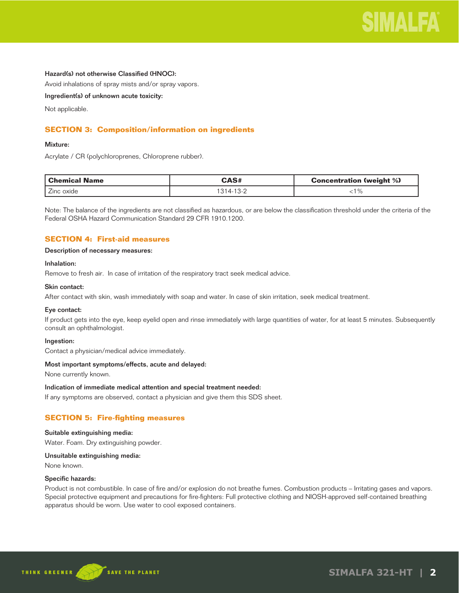

## Hazard(s) not otherwise Classified (HNOC):

Avoid inhalations of spray mists and/or spray vapors.

Ingredient(s) of unknown acute toxicity:

Not applicable.

## **SECTION 3: Composition/information on ingredients**

#### Mixture:

Acrylate / CR (polychloroprenes, Chloroprene rubber).

| Chemical Name | <b>CAS#</b>    | <b>Concentration (weight %)</b> |
|---------------|----------------|---------------------------------|
| . Zinc oxide  | $314 - 13 - 2$ | $\%$                            |

Note: The balance of the ingredients are not classified as hazardous, or are below the classification threshold under the criteria of the Federal OSHA Hazard Communication Standard 29 CFR 1910.1200.

## **SECTION 4: First-aid measures**

## Description of necessary measures:

#### Inhalation:

Remove to fresh air. In case of irritation of the respiratory tract seek medical advice.

### Skin contact:

After contact with skin, wash immediately with soap and water. In case of skin irritation, seek medical treatment.

#### Eye contact:

If product gets into the eye, keep eyelid open and rinse immediately with large quantities of water, for at least 5 minutes. Subsequently consult an ophthalmologist.

#### Ingestion:

Contact a physician/medical advice immediately.

#### Most important symptoms/effects, acute and delayed:

None currently known.

## Indication of immediate medical attention and special treatment needed:

If any symptoms are observed, contact a physician and give them this SDS sheet.

## **SECTION 5: Fire-fighting measures**

## Suitable extinguishing media:

Water. Foam. Dry extinguishing powder.

### Unsuitable extinguishing media:

None known.

#### Specific hazards:

Product is not combustible. In case of fire and/or explosion do not breathe fumes. Combustion products – Irritating gases and vapors. Special protective equipment and precautions for fire-fighters: Full protective clothing and NIOSH-approved self-contained breathing apparatus should be worn. Use water to cool exposed containers.

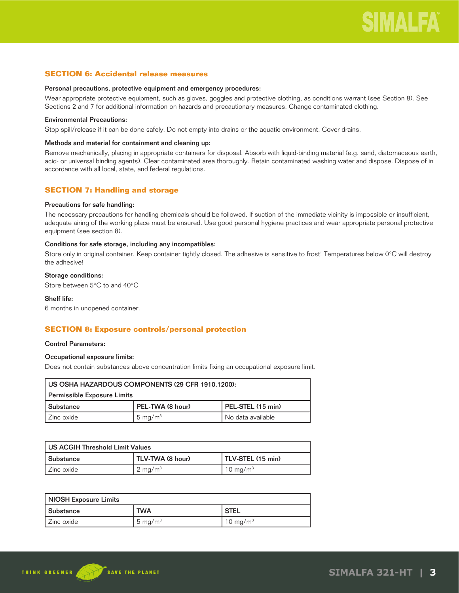## **SECTION 6: Accidental release measures**

#### Personal precautions, protective equipment and emergency procedures:

Wear appropriate protective equipment, such as gloves, goggles and protective clothing, as conditions warrant (see Section 8). See Sections 2 and 7 for additional information on hazards and precautionary measures. Change contaminated clothing.

## Environmental Precautions:

Stop spill/release if it can be done safely. Do not empty into drains or the aquatic environment. Cover drains.

### Methods and material for containment and cleaning up:

Remove mechanically, placing in appropriate containers for disposal. Absorb with liquid-binding material (e.g. sand, diatomaceous earth, acid- or universal binding agents). Clear contaminated area thoroughly. Retain contaminated washing water and dispose. Dispose of in accordance with all local, state, and federal regulations.

## **SECTION 7: Handling and storage**

#### Precautions for safe handling:

The necessary precautions for handling chemicals should be followed. If suction of the immediate vicinity is impossible or insufficient, adequate airing of the working place must be ensured. Use good personal hygiene practices and wear appropriate personal protective equipment (see section 8).

## Conditions for safe storage, including any incompatibles:

Store only in original container. Keep container tightly closed. The adhesive is sensitive to frost! Temperatures below 0°C will destroy the adhesive!

## Storage conditions:

Store between 5°C to and 40°C

### Shelf life:

6 months in unopened container.

## **SECTION 8: Exposure controls/personal protection**

#### Control Parameters:

## Occupational exposure limits:

Does not contain substances above concentration limits fixing an occupational exposure limit.

| I US OSHA HAZARDOUS COMPONENTS (29 CFR 1910.1200): |                    |                   |
|----------------------------------------------------|--------------------|-------------------|
| Permissible Exposure Limits                        |                    |                   |
| l Substance                                        | PEL-TWA (8 hour)   | PEL-STEL (15 min) |
| l Zinc oxide                                       | $5 \text{ mg/m}^3$ | No data available |

| l US ACGIH Threshold Limit Values |                    |                   |
|-----------------------------------|--------------------|-------------------|
| l Substance                       | TLV-TWA (8 hour)   | TLV-STEL (15 min) |
| l Zinc oxide                      | $2 \text{ mg/m}^3$ | 10 mg/m $3$       |

| NIOSH Exposure Limits |            |                      |
|-----------------------|------------|----------------------|
| l Substance           | <b>TWA</b> | ' STEL               |
| l Zinc oxide          | 5 mg/m $3$ | 10 mg/m <sup>3</sup> |

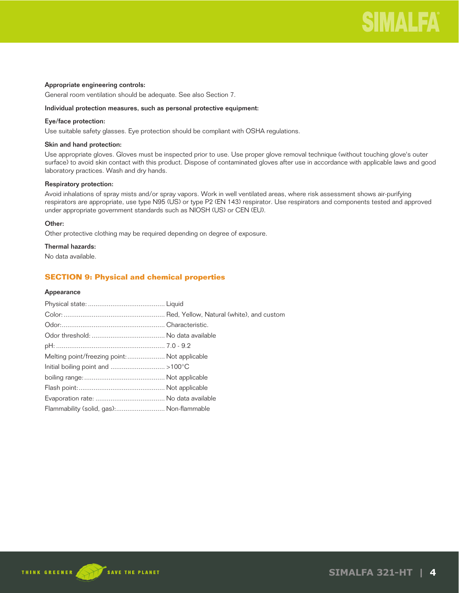

## Appropriate engineering controls:

General room ventilation should be adequate. See also Section 7.

### Individual protection measures, such as personal protective equipment:

## Eye/face protection:

Use suitable safety glasses. Eye protection should be compliant with OSHA regulations.

## Skin and hand protection:

Use appropriate gloves. Gloves must be inspected prior to use. Use proper glove removal technique (without touching glove's outer surface) to avoid skin contact with this product. Dispose of contaminated gloves after use in accordance with applicable laws and good laboratory practices. Wash and dry hands.

## Respiratory protection:

Avoid inhalations of spray mists and/or spray vapors. Work in well ventilated areas, where risk assessment shows air-purifying respirators are appropriate, use type N95 (US) or type P2 (EN 143) respirator. Use respirators and components tested and approved under appropriate government standards such as NIOSH (US) or CEN (EU).

## Other:

Other protective clothing may be required depending on degree of exposure.

#### Thermal hazards:

No data available.

## **SECTION 9: Physical and chemical properties**

### Appearance

| Melting point/freezing point: Not applicable |  |
|----------------------------------------------|--|
|                                              |  |
|                                              |  |
|                                              |  |
|                                              |  |
| Flammability (solid, gas): Non-flammable     |  |

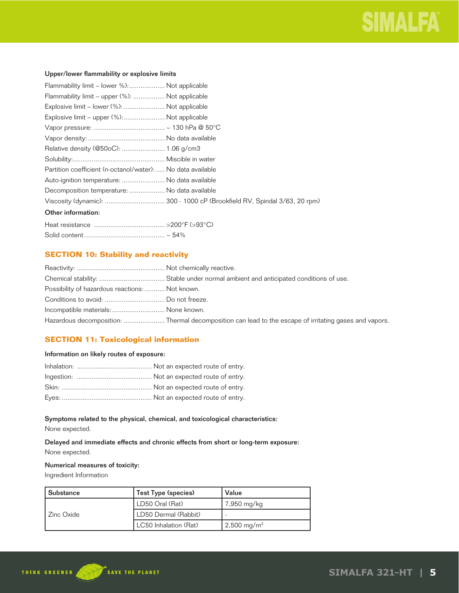## Upper/lower flammability or explosive limits

| Flammability limit – lower %): Not applicable               |  |
|-------------------------------------------------------------|--|
| Flammability limit – upper (%):  Not applicable             |  |
| Explosive limit - lower (%):  Not applicable                |  |
| Explosive limit - upper (%): Not applicable                 |  |
|                                                             |  |
|                                                             |  |
|                                                             |  |
|                                                             |  |
| Partition coefficient (n-octanol/water):  No data available |  |
| Auto-ignition temperature:  No data available               |  |
| Decomposition temperature:  No data available               |  |
|                                                             |  |
| Other information:                                          |  |
|                                                             |  |
|                                                             |  |

## **SECTION 10: Stability and reactivity**

| Possibility of hazardous reactions: Not known. |                                                                                                       |
|------------------------------------------------|-------------------------------------------------------------------------------------------------------|
|                                                |                                                                                                       |
| Incompatible materials:  None known.           |                                                                                                       |
|                                                | Hazardous decomposition: Thermal decomposition can lead to the escape of irritating gases and vapors. |

## **SECTION 11: Toxicological information**

## Information on likely routes of exposure:

## Symptoms related to the physical, chemical, and toxicological characteristics:

None expected.

Delayed and immediate effects and chronic effects from short or long-term exposure: None expected.

## Numerical measures of toxicity:

Ingredient Information

| Substance  | Test Type (species)   | Value                  |
|------------|-----------------------|------------------------|
|            | LD50 Oral (Rat)       | 7,950 mg/kg            |
| Zinc Oxide | LD50 Dermal (Rabbit)  |                        |
|            | LC50 Inhalation (Rat) | $2,500 \text{ mg/m}^3$ |

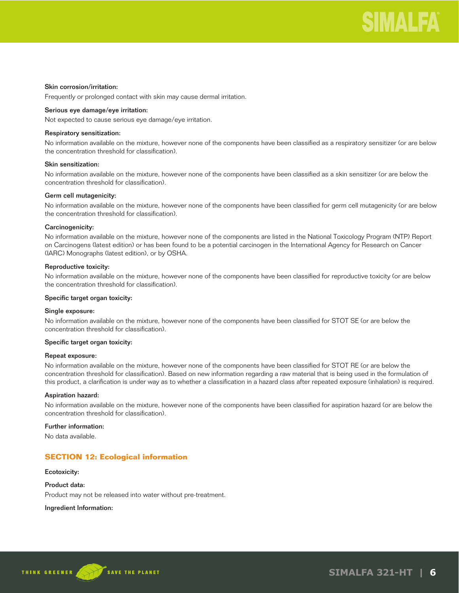## Skin corrosion/irritation:

Frequently or prolonged contact with skin may cause dermal irritation.

## Serious eye damage/eye irritation:

Not expected to cause serious eye damage/eye irritation.

#### Respiratory sensitization:

No information available on the mixture, however none of the components have been classified as a respiratory sensitizer (or are below the concentration threshold for classification).

## Skin sensitization:

No information available on the mixture, however none of the components have been classified as a skin sensitizer (or are below the concentration threshold for classification).

#### Germ cell mutagenicity:

No information available on the mixture, however none of the components have been classified for germ cell mutagenicity (or are below the concentration threshold for classification).

#### Carcinogenicity:

No information available on the mixture, however none of the components are listed in the National Toxicology Program (NTP) Report on Carcinogens (latest edition) or has been found to be a potential carcinogen in the International Agency for Research on Cancer (IARC) Monographs (latest edition), or by OSHA.

### Reproductive toxicity:

No information available on the mixture, however none of the components have been classified for reproductive toxicity (or are below the concentration threshold for classification).

#### Specific target organ toxicity:

#### Single exposure:

No information available on the mixture, however none of the components have been classified for STOT SE (or are below the concentration threshold for classification).

#### Specific target organ toxicity:

#### Repeat exposure:

No information available on the mixture, however none of the components have been classified for STOT RE (or are below the concentration threshold for classification). Based on new information regarding a raw material that is being used in the formulation of this product, a clarification is under way as to whether a classification in a hazard class after repeated exposure (inhalation) is required.

#### Aspiration hazard:

No information available on the mixture, however none of the components have been classified for aspiration hazard (or are below the concentration threshold for classification).

#### Further information:

No data available.

## **SECTION 12: Ecological information**

#### Ecotoxicity:

Product data: Product may not be released into water without pre-treatment.

#### Ingredient Information:

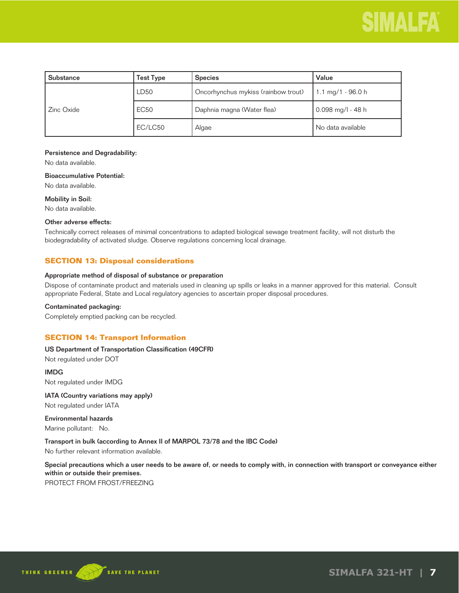| l Substance  | Test Type   | <b>Species</b>                      | Value               |
|--------------|-------------|-------------------------------------|---------------------|
|              | <b>LD50</b> | Oncorhynchus mykiss (rainbow trout) | 1.1 mg/1 - 96.0 h   |
| l Zinc Oxide | <b>EC50</b> | Daphnia magna (Water flea)          | $0.098$ mg/l - 48 h |
|              | EC/LC50     | Algae                               | No data available   |

## Persistence and Degradability:

No data available.

#### Bioaccumulative Potential:

No data available.

### Mobility in Soil:

No data available.

## Other adverse effects:

Technically correct releases of minimal concentrations to adapted biological sewage treatment facility, will not disturb the biodegradability of activated sludge. Observe regulations concerning local drainage.

## **SECTION 13: Disposal considerations**

### Appropriate method of disposal of substance or preparation

Dispose of contaminate product and materials used in cleaning up spills or leaks in a manner approved for this material. Consult appropriate Federal, State and Local regulatory agencies to ascertain proper disposal procedures.

## Contaminated packaging:

Completely emptied packing can be recycled.

## **SECTION 14: Transport Information**

## US Department of Transportation Classification (49CFR)

Not regulated under DOT

IMDG Not regulated under IMDG

IATA (Country variations may apply) Not regulated under IATA

Environmental hazards Marine pollutant: No.

Transport in bulk (according to Annex II of MARPOL 73/78 and the IBC Code)

No further relevant information available.

Special precautions which a user needs to be aware of, or needs to comply with, in connection with transport or conveyance either within or outside their premises.

PROTECT FROM FROST/FREEZING

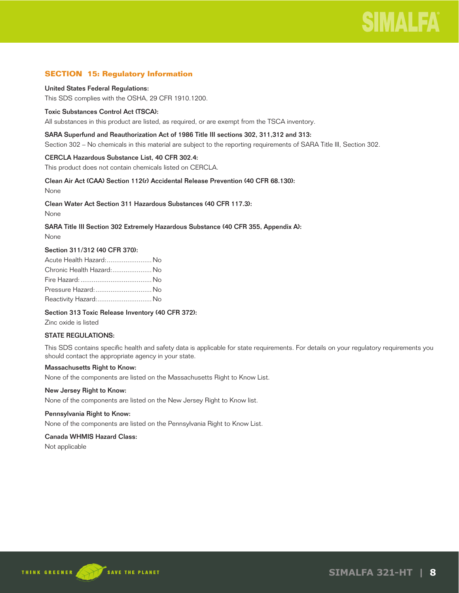## **SECTION 15: Regulatory Information**

#### United States Federal Regulations:

This SDS complies with the OSHA, 29 CFR 1910.1200.

### Toxic Substances Control Act (TSCA):

All substances in this product are listed, as required, or are exempt from the TSCA inventory.

### SARA Superfund and Reauthorization Act of 1986 Title III sections 302, 311,312 and 313:

Section 302 – No chemicals in this material are subject to the reporting requirements of SARA Title III, Section 302.

#### CERCLA Hazardous Substance List, 40 CFR 302.4:

This product does not contain chemicals listed on CERCLA.

## Clean Air Act (CAA) Section 112(r) Accidental Release Prevention (40 CFR 68.130):

None

#### Clean Water Act Section 311 Hazardous Substances (40 CFR 117.3):

None

## SARA Title III Section 302 Extremely Hazardous Substance (40 CFR 355, Appendix A):

None

### Section 311/312 (40 CFR 370):

| Acute Health Hazard: No  |  |
|--------------------------|--|
| Chronic Health Hazard:No |  |
|                          |  |
| Pressure Hazard:  No     |  |
| Reactivity Hazard: No    |  |

## Section 313 Toxic Release Inventory (40 CFR 372):

Zinc oxide is listed

## STATE REGULATIONS:

This SDS contains specific health and safety data is applicable for state requirements. For details on your regulatory requirements you should contact the appropriate agency in your state.

## Massachusetts Right to Know:

None of the components are listed on the Massachusetts Right to Know List.

#### New Jersey Right to Know:

None of the components are listed on the New Jersey Right to Know list.

#### Pennsylvania Right to Know:

None of the components are listed on the Pennsylvania Right to Know List.

#### Canada WHMIS Hazard Class:

Not applicable

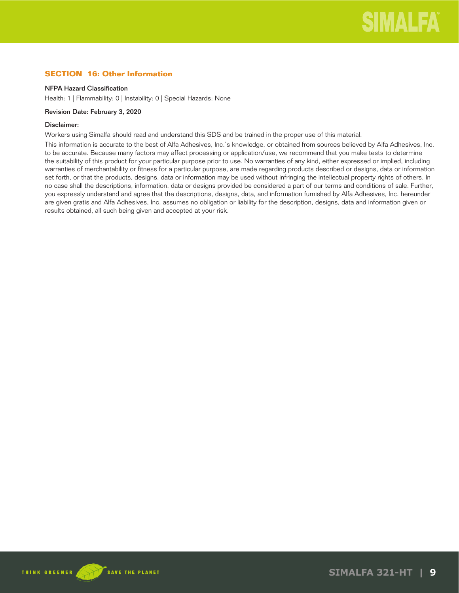## **SECTION 16: Other Information**

### NFPA Hazard Classification

Health: 1 | Flammability: 0 | Instability: 0 | Special Hazards: None

## Revision Date: February 3, 2020

## Disclaimer:

Workers using Simalfa should read and understand this SDS and be trained in the proper use of this material.

This information is accurate to the best of Alfa Adhesives, Inc.'s knowledge, or obtained from sources believed by Alfa Adhesives, Inc. to be accurate. Because many factors may affect processing or application/use, we recommend that you make tests to determine the suitability of this product for your particular purpose prior to use. No warranties of any kind, either expressed or implied, including warranties of merchantability or fitness for a particular purpose, are made regarding products described or designs, data or information set forth, or that the products, designs, data or information may be used without infringing the intellectual property rights of others. In no case shall the descriptions, information, data or designs provided be considered a part of our terms and conditions of sale. Further, you expressly understand and agree that the descriptions, designs, data, and information furnished by Alfa Adhesives, Inc. hereunder are given gratis and Alfa Adhesives, Inc. assumes no obligation or liability for the description, designs, data and information given or results obtained, all such being given and accepted at your risk.

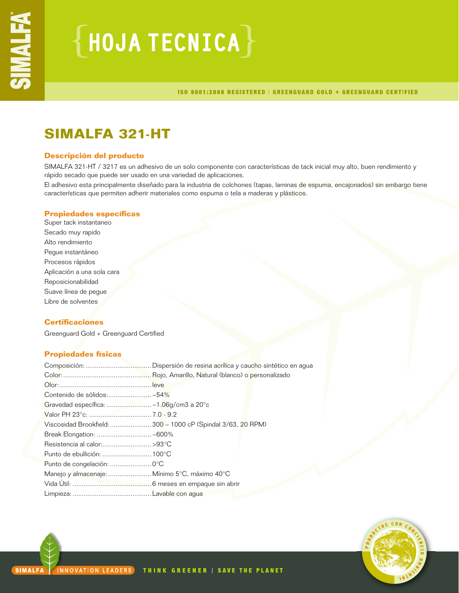# ${HoudATECNICA}$

ISO 9001:2008 REGISTERED | GREENGUARD GOLD + GREENGUARD CERTIFIED

## **SIMALFA 321-HT**

## **Descripción del producto**

SIMALFA 321-HT / 3217 es un adhesivo de un solo componente con características de tack inicial muy alto, buen rendimiento y rápido secado que puede ser usado en una variedad de aplicaciones.

El adhesivo esta principalmente diseñado para la industria de colchones (tapas, laminas de espuma, encajonados) sin embargo tiene características que permiten adherir materiales como espuma o tela a maderas y plásticos.

## **Propiedades específicas**

Super tack instantaneo Secado muy rapido Alto rendimiento Pegue instantáneo Procesos rápidos Aplicación a una sola cara Reposicionabilidad Suave línea de pegue Libre de solventes

## **Certificaciones**

Greenguard Gold + Greenguard Certified

## **Propiedades físicas**

| Gravedad específica:  ~1.06g/cm3 a 20°c       |                                                              |
|-----------------------------------------------|--------------------------------------------------------------|
|                                               |                                                              |
|                                               | Viscosidad Brookfield:  300 - 1000 cP (Spindal 3/63, 20 RPM) |
|                                               |                                                              |
| Resistencia al calor:>93°C                    |                                                              |
|                                               |                                                              |
|                                               |                                                              |
| Manejo y almacenaje:  Mínimo 5°C, máximo 40°C |                                                              |
|                                               |                                                              |
|                                               |                                                              |

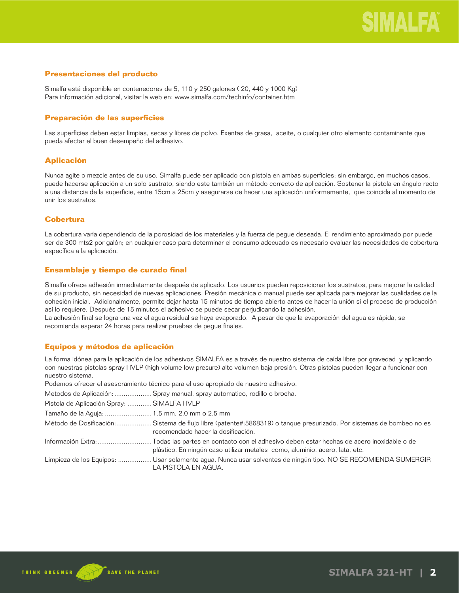## **Presentaciones del producto**

Simalfa está disponible en contenedores de 5, 110 y 250 galones ( 20, 440 y 1000 Kg) Para información adicional, visitar la web en: www.simalfa.com/techinfo/container.htm

## **Preparación de las superficies**

Las superficies deben estar limpias, secas y libres de polvo. Exentas de grasa, aceite, o cualquier otro elemento contaminante que pueda afectar el buen desempeño del adhesivo.

## **Aplicación**

Nunca agite o mezcle antes de su uso. Simalfa puede ser aplicado con pistola en ambas superficies; sin embargo, en muchos casos, puede hacerse aplicación a un solo sustrato, siendo este también un método correcto de aplicación. Sostener la pistola en ángulo recto a una distancia de la superficie, entre 15cm a 25cm y asegurarse de hacer una aplicación uniformemente, que coincida al momento de unir los sustratos.

## **Cobertura**

La cobertura varía dependiendo de la porosidad de los materiales y la fuerza de pegue deseada. El rendimiento aproximado por puede ser de 300 mts2 por galón; en cualquier caso para determinar el consumo adecuado es necesario evaluar las necesidades de cobertura específica a la aplicación.

## **Ensamblaje y tiempo de curado final**

Simalfa ofrece adhesión inmediatamente después de aplicado. Los usuarios pueden reposicionar los sustratos, para mejorar la calidad de su producto, sin necesidad de nuevas aplicaciones. Presión mecánica o manual puede ser aplicada para mejorar las cualidades de la cohesión inicial. Adicionalmente, permite dejar hasta 15 minutos de tiempo abierto antes de hacer la unión si el proceso de producción así lo requiere. Después de 15 minutos el adhesivo se puede secar perjudicando la adhesión.

La adhesión final se logra una vez el agua residual se haya evaporado. A pesar de que la evaporación del agua es rápida, se recomienda esperar 24 horas para realizar pruebas de pegue finales.

## **Equipos y métodos de aplicación**

La forma idónea para la aplicación de los adhesivos SIMALFA es a través de nuestro sistema de caída libre por gravedad y aplicando con nuestras pistolas spray HVLP (high volume low presure) alto volumen baja presión. Otras pistolas pueden llegar a funcionar con nuestro sistema.

Podemos ofrecer el asesoramiento técnico para el uso apropiado de nuestro adhesivo.

Metodos de Aplicación: ....................Spray manual, spray automatico, rodillo o brocha.

Tamaño de la Aguja: ......................... 1.5 mm, 2.0 mm o 2.5 mm

Método de Dosificación: ...................Sistema de flujo libre (patente#:5868319) o tanque presurizado. Por sistemas de bombeo no es recomendado hacer la dosificación.

Información Extra: ............................. Todas las partes en contacto con el adhesivo deben estar hechas de acero inoxidable o de plástico. En ningún caso utilizar metales como, aluminio, acero, lata, etc.

Limpieza de los Equipos: .................. Usar solamente agua. Nunca usar solventes de ningún tipo. NO SE RECOMIENDA SUMERGIR LA PISTOLA EN AGUA.

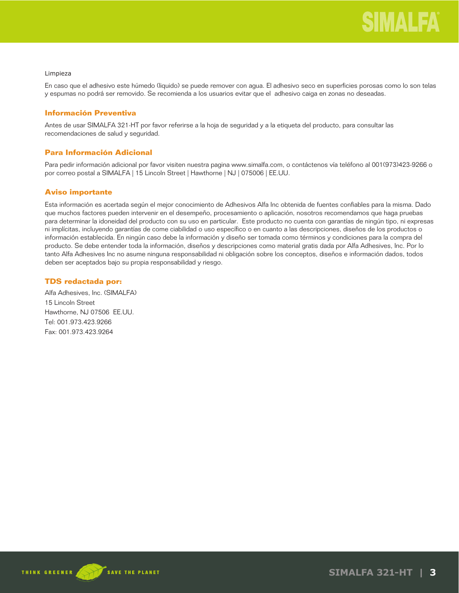#### Limpieza

En caso que el adhesivo este húmedo (liquido) se puede remover con agua. El adhesivo seco en superficies porosas como lo son telas y espumas no podrá ser removido. Se recomienda a los usuarios evitar que el adhesivo caiga en zonas no deseadas.

## **Información Preventiva**

Antes de usar SIMALFA 321-HT por favor referirse a la hoja de seguridad y a la etiqueta del producto, para consultar las recomendaciones de salud y seguridad.

## **Para Información Adicional**

Para pedir información adicional por favor visiten nuestra pagina www.simalfa.com, o contáctenos vía teléfono al 001(973)423-9266 o por correo postal a SIMALFA | 15 Lincoln Street | Hawthorne | NJ | 075006 | EE.UU.

## **Aviso importante**

Esta información es acertada según el mejor conocimiento de Adhesivos Alfa Inc obtenida de fuentes confiables para la misma. Dado que muchos factores pueden intervenir en el desempeño, procesamiento o aplicación, nosotros recomendamos que haga pruebas para determinar la idoneidad del producto con su uso en particular. Este producto no cuenta con garantías de ningún tipo, ni expresas ni implícitas, incluyendo garantías de come ciabilidad o uso específico o en cuanto a las descripciones, diseños de los productos o información establecida. En ningún caso debe la información y diseño ser tomada como términos y condiciones para la compra del producto. Se debe entender toda la información, diseños y descripciones como material gratis dada por Alfa Adhesives, Inc. Por lo tanto Alfa Adhesives Inc no asume ninguna responsabilidad ni obligación sobre los conceptos, diseños e información dados, todos deben ser aceptados bajo su propia responsabilidad y riesgo.

## **TDS redactada por:**

Alfa Adhesives, Inc. (SIMALFA) 15 Lincoln Street Hawthorne, NJ 07506 EE.UU. Tel: 001.973.423.9266 Fax: 001.973.423.9264

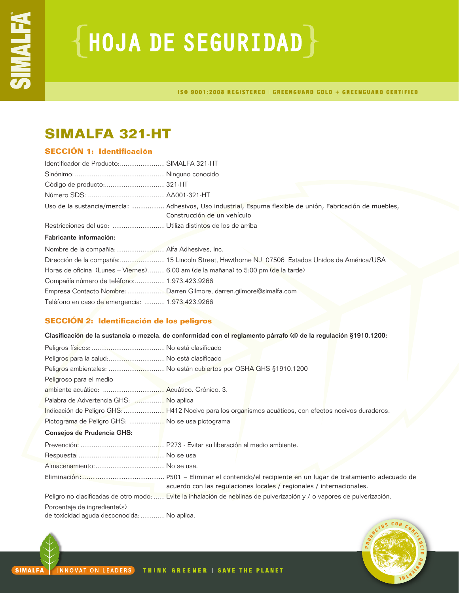# ${HoudA DE SEGURIDAD}$

ISO 9001:2008 REGISTERED | GREENGUARD GOLD + GREENGUARD CERTIFIED

## **SIMALFA 321-HT**

## **SECCIÓN 1: Identificación**

| Identificador de Producto: SIMALFA 321-HT       |                                                                                                                                          |
|-------------------------------------------------|------------------------------------------------------------------------------------------------------------------------------------------|
|                                                 |                                                                                                                                          |
|                                                 |                                                                                                                                          |
|                                                 |                                                                                                                                          |
|                                                 | Uso de la sustancia/mezcla:  Adhesivos, Uso industrial, Espuma flexible de unión, Fabricación de muebles,<br>Construcción de un vehículo |
|                                                 |                                                                                                                                          |
| Fabricante información:                         |                                                                                                                                          |
|                                                 |                                                                                                                                          |
|                                                 | Dirección de la compañía: 15 Lincoln Street, Hawthorne NJ 07506 Estados Unidos de América/USA                                            |
|                                                 | Horas de oficina (Lunes – Viernes)  6.00 am (de la mañana) to 5:00 pm (de la tarde)                                                      |
| Compañía número de teléfono: 1.973.423.9266     |                                                                                                                                          |
|                                                 | Empresa Contacto Nombre:  Darren Gilmore, darren.gilmore@simalfa.com                                                                     |
| Teléfono en caso de emergencia:  1.973.423.9266 |                                                                                                                                          |

## **SECCIÓN 2: Identificación de los peligros**

Clasificación de la sustancia o mezcla, de conformidad con el reglamento párrafo (d) de la regulación §1910.1200:

| Peligros para la salud: No está clasificado                                 |                                                                                                                         |
|-----------------------------------------------------------------------------|-------------------------------------------------------------------------------------------------------------------------|
|                                                                             | Peligros ambientales:  No están cubiertos por OSHA GHS §1910.1200                                                       |
| Peligroso para el medio                                                     |                                                                                                                         |
|                                                                             |                                                                                                                         |
| Palabra de Advertencia GHS:  No aplica                                      |                                                                                                                         |
|                                                                             | Indicación de Peligro GHS:  H412 Nocivo para los organismos acuáticos, con efectos nocivos duraderos.                   |
| Pictograma de Peligro GHS:  No se usa pictograma                            |                                                                                                                         |
| Consejos de Prudencia GHS:                                                  |                                                                                                                         |
|                                                                             |                                                                                                                         |
|                                                                             |                                                                                                                         |
|                                                                             |                                                                                                                         |
|                                                                             | acuerdo con las regulaciones locales / regionales / internacionales.                                                    |
|                                                                             | Peligro no clasificadas de otro modo:  Evite la inhalación de neblinas de pulverización y / o vapores de pulverización. |
| Porcentaje de ingrediente(s)<br>de toxicidad aguda desconocida:  No aplica. |                                                                                                                         |



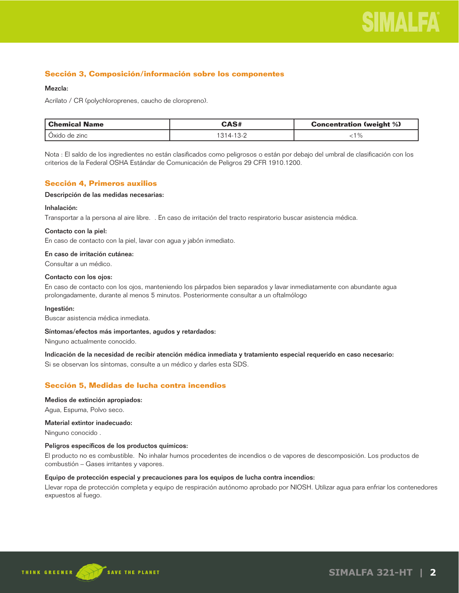

## **Sección 3, Composición/información sobre los componentes**

## Mezcla:

Acrilato / CR (polychloroprenes, caucho de cloropreno).

| l Chemical Name | <b>CAS#</b> | <b>Concentration (weight %)</b> |
|-----------------|-------------|---------------------------------|
| Oxido de zinc   | 314-13-2    |                                 |

Nota : El saldo de los ingredientes no están clasificados como peligrosos o están por debajo del umbral de clasificación con los criterios de la Federal OSHA Estándar de Comunicación de Peligros 29 CFR 1910.1200.

## **Sección 4, Primeros auxilios**

#### Descripción de las medidas necesarias:

#### Inhalación:

Transportar a la persona al aire libre. . En caso de irritación del tracto respiratorio buscar asistencia médica.

#### Contacto con la piel:

En caso de contacto con la piel, lavar con agua y jabón inmediato.

### En caso de irritación cutánea:

Consultar a un médico.

#### Contacto con los ojos:

En caso de contacto con los ojos, manteniendo los párpados bien separados y lavar inmediatamente con abundante agua prolongadamente, durante al menos 5 minutos. Posteriormente consultar a un oftalmólogo

#### Ingestión:

Buscar asistencia médica inmediata.

#### Síntomas/efectos más importantes, agudos y retardados:

Ninguno actualmente conocido.

## Indicación de la necesidad de recibir atención médica inmediata y tratamiento especial requerido en caso necesario:

Si se observan los síntomas, consulte a un médico y darles esta SDS.

## **Sección 5, Medidas de lucha contra incendios**

#### Medios de extinción apropiados:

Agua, Espuma, Polvo seco.

#### Material extintor inadecuado:

Ninguno conocido .

## Peligros específicos de los productos químicos:

El producto no es combustible. No inhalar humos procedentes de incendios o de vapores de descomposición. Los productos de combustión – Gases irritantes y vapores.

### Equipo de protección especial y precauciones para los equipos de lucha contra incendios:

Llevar ropa de protección completa y equipo de respiración autónomo aprobado por NIOSH. Utilizar agua para enfriar los contenedores expuestos al fuego.

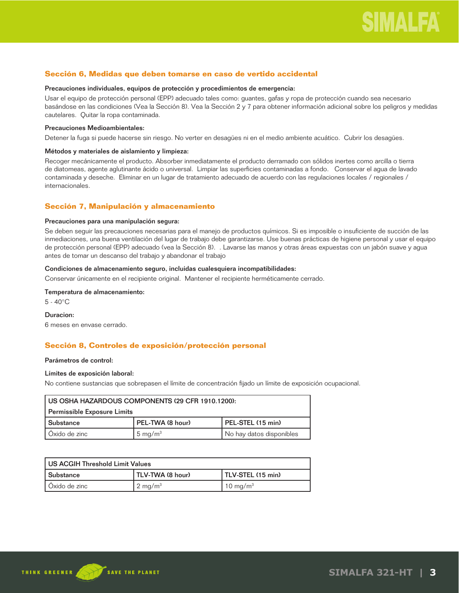## **Sección 6, Medidas que deben tomarse en caso de vertido accidental**

#### Precauciones individuales, equipos de protección y procedimientos de emergencia:

Usar el equipo de protección personal (EPP) adecuado tales como: guantes, gafas y ropa de protección cuando sea necesario basándose en las condiciones (Vea la Sección 8). Vea la Sección 2 y 7 para obtener información adicional sobre los peligros y medidas cautelares. Quitar la ropa contaminada.

#### Precauciones Medioambientales:

Detener la fuga si puede hacerse sin riesgo. No verter en desagües ni en el medio ambiente acuático. Cubrir los desagües.

#### Métodos y materiales de aislamiento y limpieza:

Recoger mecánicamente el producto. Absorber inmediatamente el producto derramado con sólidos inertes como arcilla o tierra de diatomeas, agente aglutinante ácido o universal. Limpiar las superficies contaminadas a fondo. Conservar el agua de lavado contaminada y deseche. Eliminar en un lugar de tratamiento adecuado de acuerdo con las regulaciones locales / regionales / internacionales.

## **Sección 7, Manipulación y almacenamiento**

### Precauciones para una manipulación segura:

Se deben seguir las precauciones necesarias para el manejo de productos químicos. Si es imposible o insuficiente de succión de las inmediaciones, una buena ventilación del lugar de trabajo debe garantizarse. Use buenas prácticas de higiene personal y usar el equipo de protección personal (EPP) adecuado (vea la Sección 8). . Lavarse las manos y otras áreas expuestas con un jabón suave y agua antes de tomar un descanso del trabajo y abandonar el trabajo

### Condiciones de almacenamiento seguro, incluidas cualesquiera incompatibilidades:

Conservar únicamente en el recipiente original. Mantener el recipiente herméticamente cerrado.

### Temperatura de almacenamiento:

5 - 40°C

#### Duracion:

6 meses en envase cerrado.

## **Sección 8, Controles de exposición/protección personal**

#### Parámetros de control:

#### Límites de exposición laboral:

No contiene sustancias que sobrepasen el límite de concentración fijado un límite de exposición ocupacional.

| US OSHA HAZARDOUS COMPONENTS (29 CFR 1910.1200): |                    |                          |
|--------------------------------------------------|--------------------|--------------------------|
| Permissible Exposure Limits                      |                    |                          |
| l Substance                                      | PEL-TWA (8 hour)   | PEL-STEL (15 min)        |
| Oxido de zinc                                    | $5 \text{ mg/m}^3$ | No hay datos disponibles |

| l US ACGIH Threshold Limit Values |                    |                      |
|-----------------------------------|--------------------|----------------------|
| l Substance                       | TLV-TWA (8 hour)   | TLV-STEL (15 min)    |
| l Oxido de zinc                   | $2 \text{ mg/m}^3$ | 10 mg/m <sup>3</sup> |

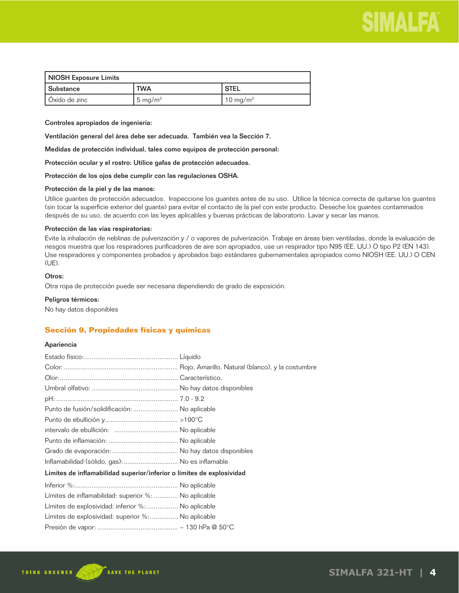

| NIOSH Exposure Limits |                     |                      |
|-----------------------|---------------------|----------------------|
| l Substance           | <b>TWA</b>          | ' STEL               |
| l Oxido de zinc       | 5 mg/m <sup>3</sup> | 10 mg/m <sup>3</sup> |

Controles apropiados de ingeniería:

Ventilación general del área debe ser adecuada. También vea la Sección 7.

Medidas de protección individual, tales como equipos de protección personal:

Protección ocular y el rostro: Utilice gafas de protección adecuados.

Protección de los ojos debe cumplir con las regulaciones OSHA.

#### Protección de la piel y de las manos:

Utilice guantes de protección adecuados. Inspeccione los guantes antes de su uso. Utilice la técnica correcta de quitarse los guantes (sin tocar la superficie exterior del guante) para evitar el contacto de la piel con este producto. Deseche los guantes contaminados después de su uso, de acuerdo con las leyes aplicables y buenas prácticas de laboratorio. Lavar y secar las manos.

#### Protección de las vías respiratorias:

Evite la inhalación de neblinas de pulverización y / o vapores de pulverización. Trabaje en áreas bien ventiladas, donde la evaluación de riesgos muestra que los respiradores purificadores de aire son apropiados, use un respirador tipo N95 (EE. UU.) O tipo P2 (EN 143). Use respiradores y componentes probados y aprobados bajo estándares gubernamentales apropiados como NIOSH (EE. UU.) O CEN (UE).

## Otros:

Otra ropa de protección puede ser necesaria dependiendo de grado de exposición.

#### Peligros térmicos:

No hay datos disponibles

## **Sección 9, Propiedades físicas y químicas**

### Apariencia

| Punto de fusión/solidificación:  No aplicable                         |  |
|-----------------------------------------------------------------------|--|
|                                                                       |  |
|                                                                       |  |
|                                                                       |  |
|                                                                       |  |
| Inflamabilidad (sólido, gas):  No es inflamable                       |  |
| Límites de inflamabilidad superior/inferior o límites de explosividad |  |
|                                                                       |  |
| Límites de inflamabilidad: superior %:  No aplicable                  |  |
| Límites de explosividad: inferior %: No aplicable                     |  |
| Límites de explosividad: superior %: No aplicable                     |  |
|                                                                       |  |

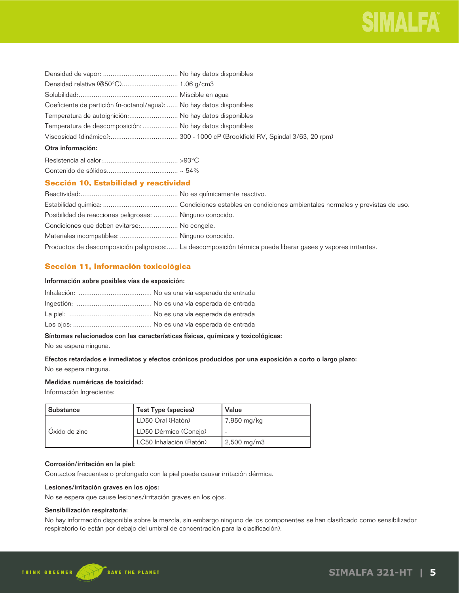

| Coeficiente de partición (n-octanol/agua):  No hay datos disponibles |  |
|----------------------------------------------------------------------|--|
| Temperatura de autoignición: No hay datos disponibles                |  |
| Temperatura de descomposición:  No hay datos disponibles             |  |
|                                                                      |  |
| Otra información:                                                    |  |

## **Sección 10, Estabilidad y reactividad**

| Posibilidad de reacciones peligrosas:  Ninguno conocido. |                                                                                                             |
|----------------------------------------------------------|-------------------------------------------------------------------------------------------------------------|
| Condiciones que deben evitarse: No congele.              |                                                                                                             |
| Materiales incompatibles:  Ninguno conocido.             |                                                                                                             |
|                                                          | Productos de descomposición peligrosos: La descomposición térmica puede liberar gases y vapores irritantes. |

## **Sección 11, Información toxicológica**

#### Información sobre posibles vías de exposición:

## Síntomas relacionados con las características físicas, químicas y toxicológicas:

No se espera ninguna.

## Efectos retardados e inmediatos y efectos crónicos producidos por una exposición a corto o largo plazo: No se espera ninguna.

### Medidas numéricas de toxicidad:

Información Ingrediente:

| <b>Substance</b> | Test Type (species)     | Value                        |
|------------------|-------------------------|------------------------------|
| Oxido de zinc    | LD50 Oral (Ratón)       | 7,950 mg/kg                  |
|                  | LD50 Dérmico (Conejo)   |                              |
|                  | LC50 Inhalación (Ratón) | $\frac{2,500 \text{ mg}}{m}$ |

## Corrosión/irritación en la piel:

Contactos frecuentes o prolongado con la piel puede causar irritación dérmica.

## Lesiones/irritación graves en los ojos:

No se espera que cause lesiones/irritación graves en los ojos.

## Sensibilización respiratoria:

No hay información disponible sobre la mezcla, sin embargo ninguno de los componentes se han clasificado como sensibilizador respiratorio (o están por debajo del umbral de concentración para la clasificación).

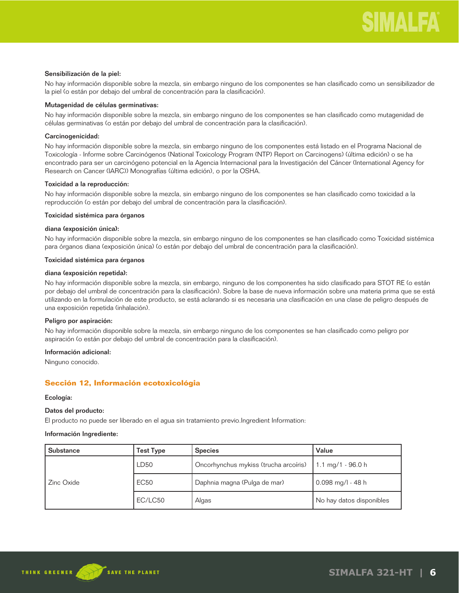#### Sensibilización de la piel:

No hay información disponible sobre la mezcla, sin embargo ninguno de los componentes se han clasificado como un sensibilizador de la piel (o están por debajo del umbral de concentración para la clasificación).

## Mutagenidad de células germinativas:

No hay información disponible sobre la mezcla, sin embargo ninguno de los componentes se han clasificado como mutagenidad de células germinativas (o están por debajo del umbral de concentración para la clasificación).

## Carcinogenicidad:

No hay información disponible sobre la mezcla, sin embargo ninguno de los componentes está listado en el Programa Nacional de Toxicología - Informe sobre Carcinógenos (National Toxicology Program (NTP) Report on Carcinogens) (última edición) o se ha encontrado para ser un carcinógeno potencial en la Agencia Internacional para la Investigación del Cáncer (International Agency for Research on Cancer (IARC)) Monografías (última edición), o por la OSHA.

## Toxicidad a la reproducción:

No hay información disponible sobre la mezcla, sin embargo ninguno de los componentes se han clasificado como toxicidad a la reproducción (o están por debajo del umbral de concentración para la clasificación).

### Toxicidad sistémica para órganos

### diana (exposición única):

No hay información disponible sobre la mezcla, sin embargo ninguno de los componentes se han clasificado como Toxicidad sistémica para órganos diana (exposición única) (o están por debajo del umbral de concentración para la clasificación).

#### Toxicidad sistémica para órganos

#### diana (exposición repetida):

No hay información disponible sobre la mezcla, sin embargo, ninguno de los componentes ha sido clasificado para STOT RE (o están por debajo del umbral de concentración para la clasificación). Sobre la base de nueva información sobre una materia prima que se está utilizando en la formulación de este producto, se está aclarando si es necesaria una clasificación en una clase de peligro después de una exposición repetida (inhalación).

#### Peligro por aspiración:

No hay información disponible sobre la mezcla, sin embargo ninguno de los componentes se han clasificado como peligro por aspiración (o están por debajo del umbral de concentración para la clasificación).

## Información adicional:

Ninguno conocido.

## **Sección 12, Información ecotoxicológia**

#### Ecología:

## Datos del producto:

El producto no puede ser liberado en el agua sin tratamiento previo.Ingredient Information:

#### Información Ingrediente:

| <b>Substance</b> | Test Type   | <b>Species</b>                        | Value                    |
|------------------|-------------|---------------------------------------|--------------------------|
| Zinc Oxide       | LD50        | Oncorhynchus mykiss (trucha arcoíris) | 1.1 mg/1 - 96.0 h        |
|                  | <b>EC50</b> | Daphnia magna (Pulga de mar)          | $0.098$ mg/l - 48 h      |
|                  | EC/LC50     | Algas                                 | No hay datos disponibles |

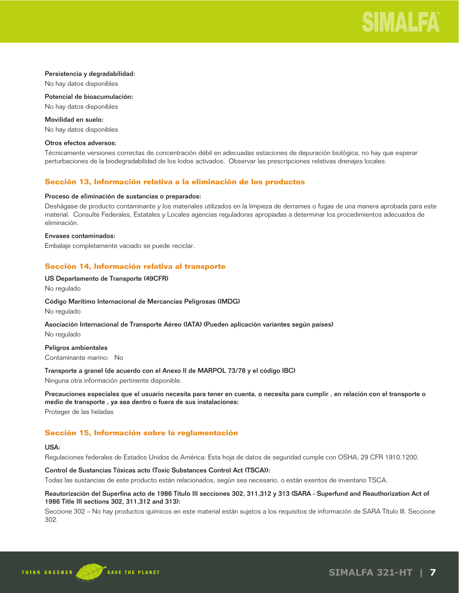

#### Persistencia y degradabilidad:

No hay datos disponibles

Potencial de bioacumulación: No hay datos disponibles

Movilidad en suelo:

No hay datos disponibles

## Otros efectos adversos:

Técnicamente versiones correctas de concentración débil en adecuadas estaciones de depuración biológica, no hay que esperar perturbaciones de la biodegradabilidad de los lodos activados. Observar las prescripciones relativas drenajes locales.

## **Sección 13, Información relativa a la eliminación de los productos**

## Proceso de eliminación de sustancias o preparados:

Deshágase de producto contaminante y los materiales utilizados en la limpieza de derrames o fugas de una manera aprobada para este material. Consulte Federales, Estatales y Locales agencias reguladoras apropiadas a determinar los procedimientos adecuados de eliminación.

### Envases contaminados:

Embalaje completamente vaciado se puede reciclar.

## **Sección 14, Información relativa al transporte**

### US Departamento de Transporte (49CFR)

No regulado

#### Código Marítimo Internacional de Mercancías Peligrosas (IMDG)

No regulado

#### Asociación Internacional de Transporte Aéreo (IATA) (Pueden aplicación variantes según países)

No regulado

#### Peligros ambientales

Contaminante marino: No

#### Transporte a granel (de acuerdo con el Anexo II de MARPOL 73/78 y el código IBC)

Ninguna otra información pertinente disponible.

## Precauciones especiales que el usuario necesita para tener en cuenta, o necesita para cumplir , en relación con el transporte o medio de transporte , ya sea dentro o fuera de sus instalaciones:

Proteger de las heladas

## **Sección 15, Información sobre la reglamentación**

## USA:

Regulaciones federales de Estados Unidos de América: Esta hoja de datos de seguridad cumple con OSHA, 29 CFR 1910.1200.

## Control de Sustancias Tóxicas acto (Toxic Substances Control Act (TSCA)):

Todas las sustancias de este producto están relacionados, según sea necesario, o están exentos de inventario TSCA.

## Reautorización del Superfina acto de 1986 Título III secciones 302, 311,312 y 313 (SARA - Superfund and Reauthorization Act of 1986 Title III sections 302, 311,312 and 313):

Seccione 302 – No hay productos químicos en este material están sujetos a los requisitos de información de SARA Título III, Seccione 302.